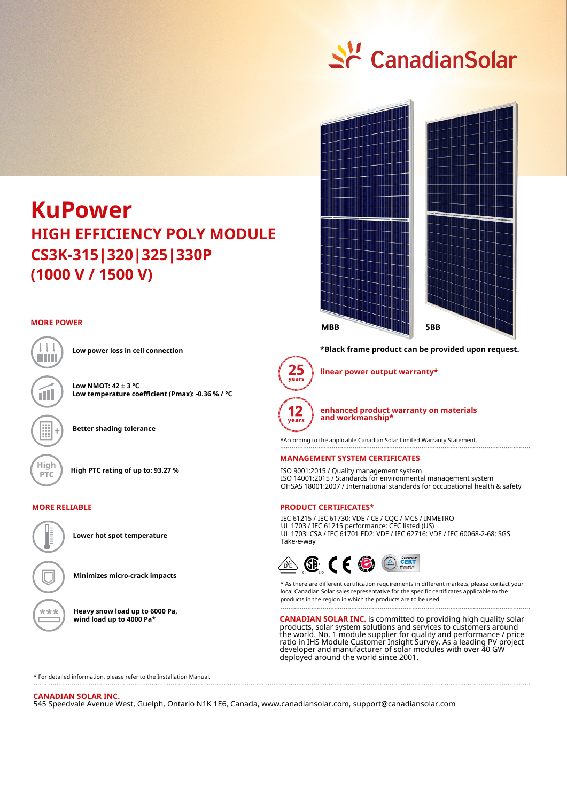

# **KuPower CS3K-315|320|325|330P HIGH EFFICIENCY POLY MODULE (1000 V / 1500 V)**

#### **MORE POWER**



**Low power loss in cell connection**

**Low NMOT: 42 ± 3 °C Low temperature coefficient (Pmax): -0.36 % / °C**

**Better shading tolerance**

**High High PTC rating of up to: 93.27 %**

#### **MORE RELIABLE**



**Lower hot spot temperature**

**Minimizes micro-crack impacts**

**Heavy snow load up to 6000 Pa, wind load up to 4000 Pa\***



#### **\*Black frame product can be provided upon request.**



**linear power output warranty\***



**enhanced product warranty on materials and workmanship\***

\*According to the applicable Canadian Solar Limited Warranty Statement.

#### **MANAGEMENT SYSTEM CERTIFICATES**

ISO 9001:2015 / Quality management system ISO 14001:2015 / Standards for environmental management system OHSAS 18001:2007 / International standards for occupational health & safety

#### **PRODUCT CERTIFICATES\***

IEC 61215 / IEC 61730: VDE / CE / CQC / MCS / INMETRO UL 1703 / IEC 61215 performance: CEC listed (US) UL 1703: CSA / IEC 61701 ED2: VDE / IEC 62716: VDE / IEC 60068-2-68: SGS Take-e-way



\* As there are different certification requirements in different markets, please contact your local Canadian Solar sales representative for the specific certificates applicable to the products in the region in which the products are to be used.

**CANADIAN SOLAR INC.** is committed to providing high quality solar products, solar system solutions and services to customers around the world. No. 1 module supplier for quality and performance / price ratio in IHS Module Customer Insight Survey. As a leading PV project developer and manufacturer of solar modules with over 40 GW deployed around the world since 2001.

\* For detailed information, please refer to the Installation Manual.

#### **CANADIAN SOLAR INC.**

545 Speedvale Avenue West, Guelph, Ontario N1K 1E6, Canada, www.canadiansolar.com, support@canadiansolar.com